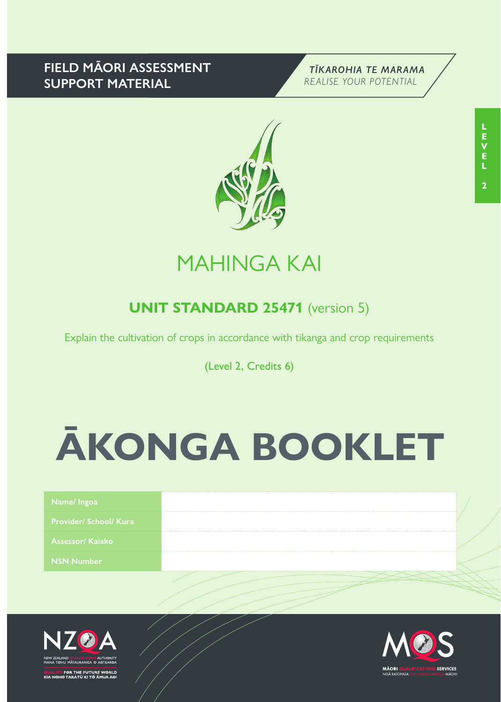### **FIELD MĀORI ASSESSMENT SUPPORT MATERIAL**





## MAHINGA KAI

### **UNIT STANDARD 25471** (version 5)

Explain the cultivation of crops in accordance with tikanga and crop requirements

(Level 2, Credits 6)

# **ĀKONGA BOOKLET**

| Name/Ingoa                    |  |
|-------------------------------|--|
| <b>Provider/ School/ Kura</b> |  |
| Assessor/ Kajako              |  |
| <b>NSN Number</b>             |  |
|                               |  |



<mark>1</mark> FOR THE FUTURE WORLD<br>IO TAKATŪ KI TŌ ĀMUA AO!

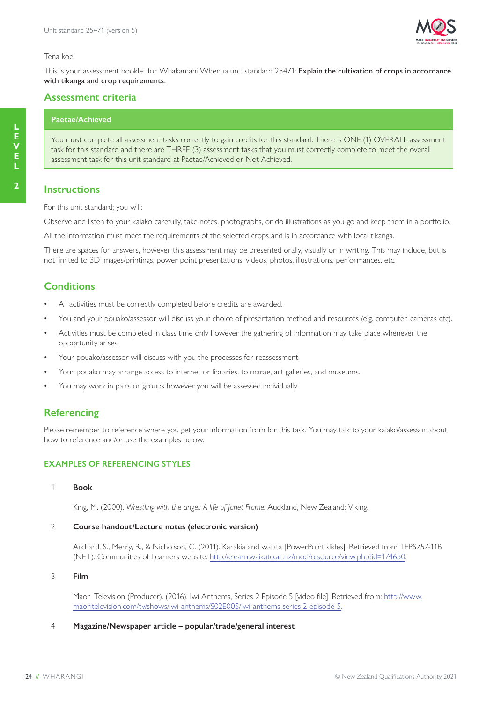

### Tēnā koe

This is your assessment booklet for Whakamahi Whenua unit standard 25471: Explain the cultivation of crops in accordance with tikanga and crop requirements.

### **Assessment criteria**

### **Paetae/Achieved**

You must complete all assessment tasks correctly to gain credits for this standard. There is ONE (1) OVERALL assessment task for this standard and there are THREE (3) assessment tasks that you must correctly complete to meet the overall assessment task for this unit standard at Paetae/Achieved or Not Achieved.

### **Instructions**

For this unit standard; you will:

Observe and listen to your kaiako carefully, take notes, photographs, or do illustrations as you go and keep them in a portfolio.

All the information must meet the requirements of the selected crops and is in accordance with local tikanga.

There are spaces for answers, however this assessment may be presented orally, visually or in writing. This may include, but is not limited to 3D images/printings, power point presentations, videos, photos, illustrations, performances, etc.

### **Conditions**

- All activities must be correctly completed before credits are awarded.
- You and your pouako/assessor will discuss your choice of presentation method and resources (e.g. computer, cameras etc).
- Activities must be completed in class time only however the gathering of information may take place whenever the opportunity arises.
- Your pouako/assessor will discuss with you the processes for reassessment.
- Your pouako may arrange access to internet or libraries, to marae, art galleries, and museums.
- You may work in pairs or groups however you will be assessed individually.

### **Referencing**

Please remember to reference where you get your information from for this task. You may talk to your kaiako/assessor about how to reference and/or use the examples below.

### **EXAMPLES OF REFERENCING STYLES**

1 **Book**

King, M. (2000). *Wrestling with the angel: A life of Janet Frame*. Auckland, New Zealand: Viking.

### 2 **Course handout/Lecture notes (electronic version)**

Archard, S., Merry, R., & Nicholson, C. (2011). Karakia and waiata [PowerPoint slides]. Retrieved from TEPS757-11B (NET): Communities of Learners website: http://elearn.waikato.ac.nz/mod/resource/view.php?id=174650.

3 **Film**

Māori Television (Producer). (2016). Iwi Anthems, Series 2 Episode 5 [video file]. Retrieved from: http://www. maoritelevision.com/tv/shows/iwi-anthems/S02E005/iwi-anthems-series-2-episode-5.

### 4 **Magazine/Newspaper article – popular/trade/general interest**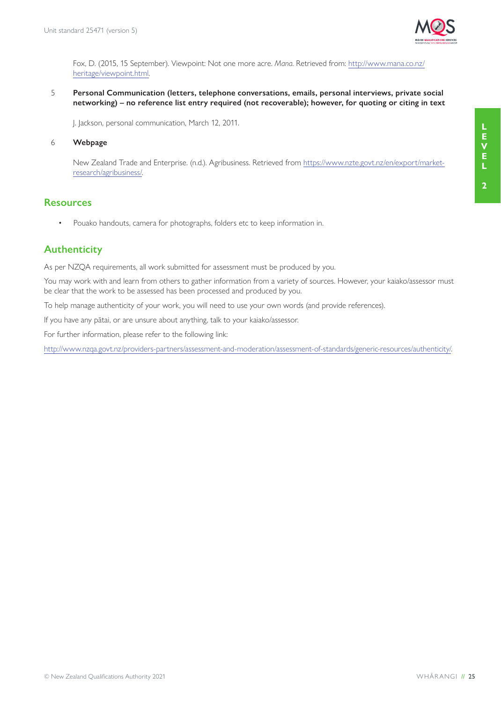

Fox, D. (2015, 15 September). Viewpoint: Not one more acre. *Mana*. Retrieved from: http://www.mana.co.nz/ heritage/viewpoint.html.

5 **Personal Communication (letters, telephone conversations, emails, personal interviews, private social networking) – no reference list entry required (not recoverable); however, for quoting or citing in text**

J. Jackson, personal communication, March 12, 2011.

### 6 **Webpage**

New Zealand Trade and Enterprise. (n.d.). Agribusiness. Retrieved from https://www.nzte.govt.nz/en/export/marketresearch/agribusiness/.

### **Resources**

• Pouako handouts, camera for photographs, folders etc to keep information in.

### **Authenticity**

As per NZQA requirements, all work submitted for assessment must be produced by you.

You may work with and learn from others to gather information from a variety of sources. However, your kaiako/assessor must be clear that the work to be assessed has been processed and produced by you.

To help manage authenticity of your work, you will need to use your own words (and provide references).

If you have any pātai, or are unsure about anything, talk to your kaiako/assessor.

For further information, please refer to the following link:

http://www.nzqa.govt.nz/providers-partners/assessment-and-moderation/assessment-of-standards/generic-resources/authenticity/.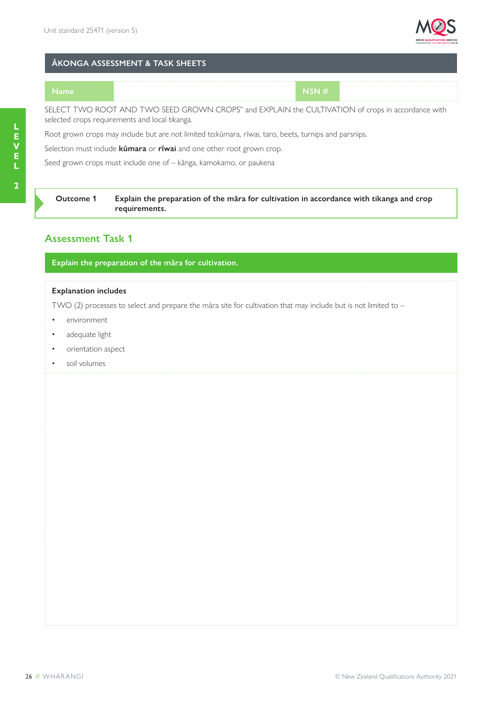

### **ĀKONGA ASSESSMENT & TASK SHEETS**

**Name NSN #**

SELECT TWO ROOT AND TWO SEED GROWN CROPS" and EXPLAIN the CULTIVATION of crops in accordance with selected crops requirements and local tikanga.

Root grown crops may include but are not limited to:kūmara, rīwai, taro, beets, turnips and parsnips.

Selection must include **kūmara** or **rīwai** and one other root grown crop.

Seed grown crops must include one of – kānga, kamokamo, or paukena

### **Outcome 1 Explain the preparation of the māra for cultivation in accordance with tikanga and crop requirements.**

### **Assessment Task 1**

**Explain the preparation of the māra for cultivation.**

### **Explanation includes**

TWO (2) processes to select and prepare the māra site for cultivation that may include but is not limited to –

- environment
- adequate light
- orientation aspect
- soil volumes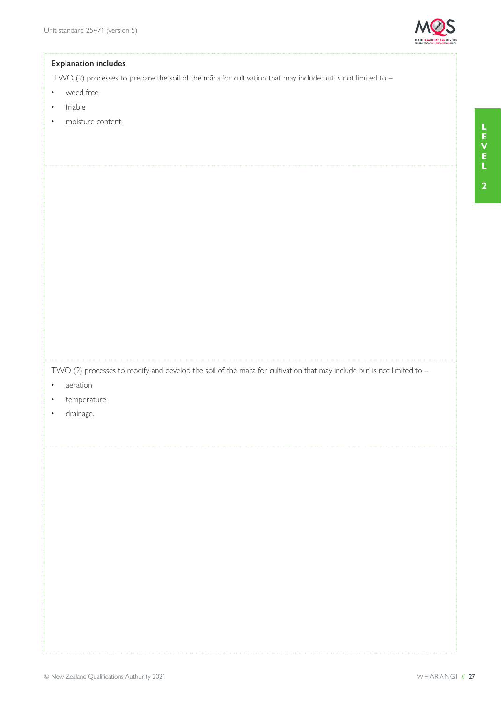

TWO (2) processes to prepare the soil of the māra for cultivation that may include but is not limited to –

- weed free
- friable
- moisture content.

TWO (2) processes to modify and develop the soil of the māra for cultivation that may include but is not limited to –

- aeration
- temperature
- drainage.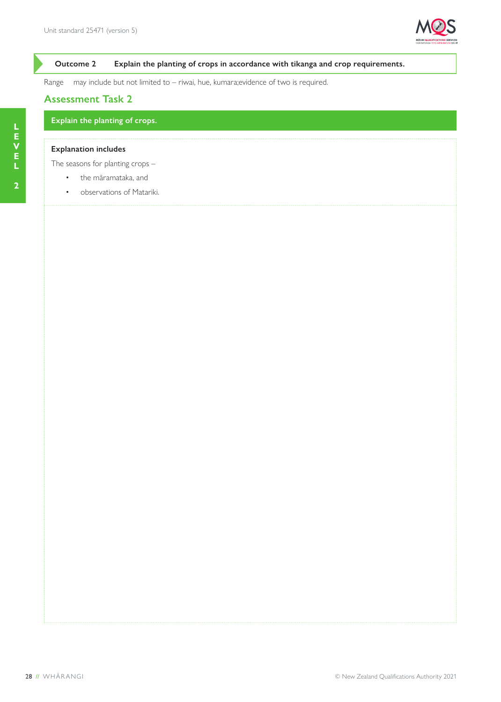

### **Outcome 2 Explain the planting of crops in accordance with tikanga and crop requirements.**

Range may include but not limited to – riwai, hue, kumara;evidence of two is required.

### **Assessment Task 2**

**Explain the planting of crops.**

### **Explanation includes**

The seasons for planting crops –

- the māramataka, and
- observations of Matariki.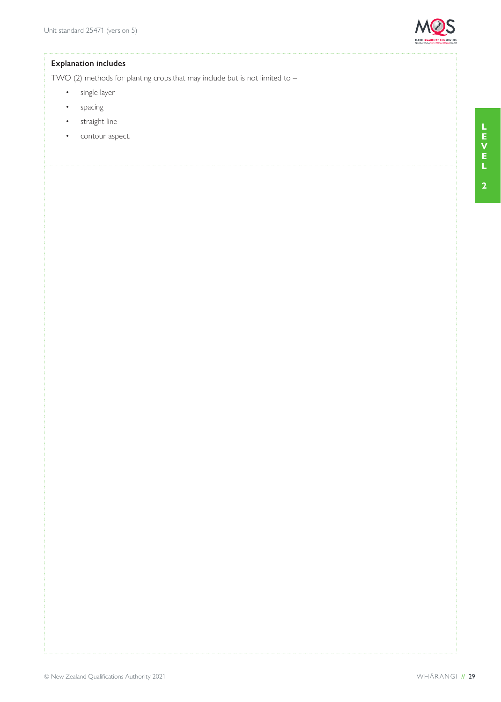

TWO (2) methods for planting crops.that may include but is not limited to –

- single layer
- spacing
- straight line
- contour aspect.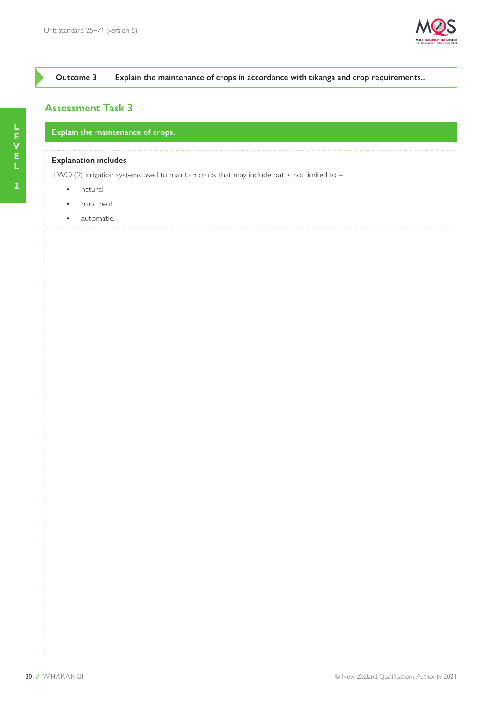

### **Outcome 3 Explain the maintenance of crops in accordance with tikanga and crop requirements..**

### **Assessment Task 3**

**Explain the maintenance of crops.**

### **Explanation includes**

TWO (2) irrigation systems used to maintain crops that may include but is not limited to  $-$ 

- natural
- hand held
- automatic.

**2**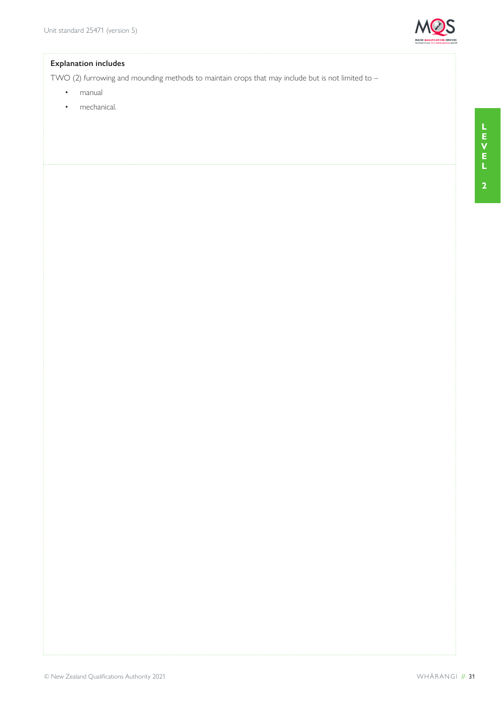

TWO (2) furrowing and mounding methods to maintain crops that may include but is not limited to -

- manual
- mechanical.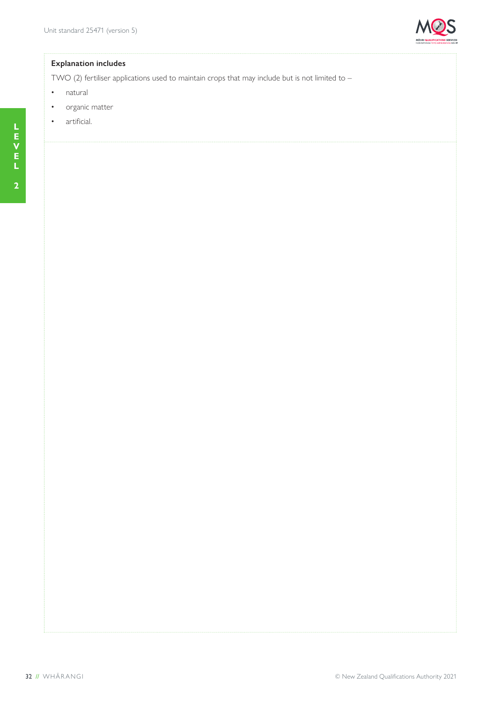

TWO (2) fertiliser applications used to maintain crops that may include but is not limited to -

- natural
- organic matter
- artificial.